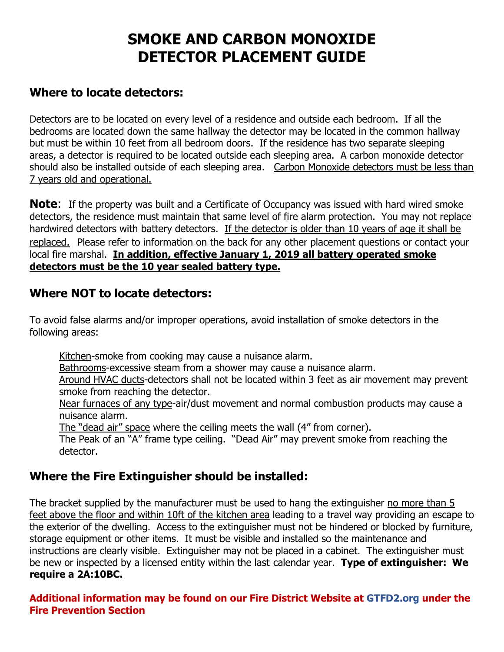# **SMOKE AND CARBON MONOXIDE DETECTOR PLACEMENT GUIDE**

## **Where to locate detectors:**

Detectors are to be located on every level of a residence and outside each bedroom. If all the bedrooms are located down the same hallway the detector may be located in the common hallway but must be within 10 feet from all bedroom doors. If the residence has two separate sleeping areas, a detector is required to be located outside each sleeping area. A carbon monoxide detector should also be installed outside of each sleeping area. Carbon Monoxide detectors must be less than 7 years old and operational.

**Note:** If the property was built and a Certificate of Occupancy was issued with hard wired smoke detectors, the residence must maintain that same level of fire alarm protection. You may not replace hardwired detectors with battery detectors. If the detector is older than 10 years of age it shall be replaced. Please refer to information on the back for any other placement questions or contact your local fire marshal. **In addition, effective January 1, 2019 all battery operated smoke detectors must be the 10 year sealed battery type.**

#### **Where NOT to locate detectors:**

To avoid false alarms and/or improper operations, avoid installation of smoke detectors in the following areas:

Kitchen-smoke from cooking may cause a nuisance alarm.

Bathrooms-excessive steam from a shower may cause a nuisance alarm.

Around HVAC ducts-detectors shall not be located within 3 feet as air movement may prevent smoke from reaching the detector.

Near furnaces of any type-air/dust movement and normal combustion products may cause a nuisance alarm.

The "dead air" space where the ceiling meets the wall (4" from corner).

The Peak of an "A" frame type ceiling. "Dead Air" may prevent smoke from reaching the detector.

## **Where the Fire Extinguisher should be installed:**

The bracket supplied by the manufacturer must be used to hang the extinguisher no more than 5 feet above the floor and within 10ft of the kitchen area leading to a travel way providing an escape to the exterior of the dwelling. Access to the extinguisher must not be hindered or blocked by furniture, storage equipment or other items. It must be visible and installed so the maintenance and instructions are clearly visible. Extinguisher may not be placed in a cabinet. The extinguisher must be new or inspected by a licensed entity within the last calendar year. **Type of extinguisher: We require a 2A:10BC.**

**Additional information may be found on our Fire District Website at GTFD2.org under the Fire Prevention Section**